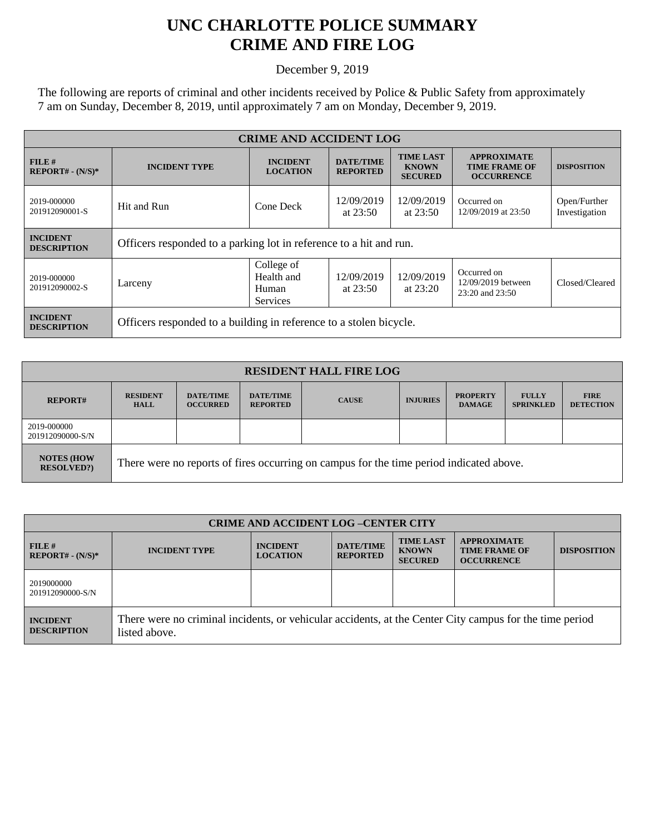## **UNC CHARLOTTE POLICE SUMMARY CRIME AND FIRE LOG**

December 9, 2019

The following are reports of criminal and other incidents received by Police & Public Safety from approximately 7 am on Sunday, December 8, 2019, until approximately 7 am on Monday, December 9, 2019.

| <b>CRIME AND ACCIDENT LOG</b>         |                                                                    |                                                      |                                     |                                                    |                                                                 |                               |
|---------------------------------------|--------------------------------------------------------------------|------------------------------------------------------|-------------------------------------|----------------------------------------------------|-----------------------------------------------------------------|-------------------------------|
| FILE#<br>$REPORT# - (N/S)*$           | <b>INCIDENT TYPE</b>                                               | <b>INCIDENT</b><br><b>LOCATION</b>                   | <b>DATE/TIME</b><br><b>REPORTED</b> | <b>TIME LAST</b><br><b>KNOWN</b><br><b>SECURED</b> | <b>APPROXIMATE</b><br><b>TIME FRAME OF</b><br><b>OCCURRENCE</b> | <b>DISPOSITION</b>            |
| 2019-000000<br>201912090001-S         | Hit and Run                                                        | Cone Deck                                            | 12/09/2019<br>at $23:50$            | 12/09/2019<br>at $23:50$                           | Occurred on<br>12/09/2019 at 23:50                              | Open/Further<br>Investigation |
| <b>INCIDENT</b><br><b>DESCRIPTION</b> | Officers responded to a parking lot in reference to a hit and run. |                                                      |                                     |                                                    |                                                                 |                               |
| 2019-000000<br>201912090002-S         | Larceny                                                            | College of<br>Health and<br>Human<br><b>Services</b> |                                     | 12/09/2019<br>at $23:20$                           | Occurred on<br>12/09/2019 between<br>$23:20$ and $23:50$        | Closed/Cleared                |
| <b>INCIDENT</b><br><b>DESCRIPTION</b> | Officers responded to a building in reference to a stolen bicycle. |                                                      |                                     |                                                    |                                                                 |                               |

| <b>RESIDENT HALL FIRE LOG</b>         |                                                                                         |                                     |                                     |              |                 |                                  |                                  |                                 |
|---------------------------------------|-----------------------------------------------------------------------------------------|-------------------------------------|-------------------------------------|--------------|-----------------|----------------------------------|----------------------------------|---------------------------------|
| <b>REPORT#</b>                        | <b>RESIDENT</b><br><b>HALL</b>                                                          | <b>DATE/TIME</b><br><b>OCCURRED</b> | <b>DATE/TIME</b><br><b>REPORTED</b> | <b>CAUSE</b> | <b>INJURIES</b> | <b>PROPERTY</b><br><b>DAMAGE</b> | <b>FULLY</b><br><b>SPRINKLED</b> | <b>FIRE</b><br><b>DETECTION</b> |
| 2019-000000<br>201912090000-S/N       |                                                                                         |                                     |                                     |              |                 |                                  |                                  |                                 |
| <b>NOTES (HOW</b><br><b>RESOLVED?</b> | There were no reports of fires occurring on campus for the time period indicated above. |                                     |                                     |              |                 |                                  |                                  |                                 |

| <b>CRIME AND ACCIDENT LOG-CENTER CITY</b> |                                                                                                                          |                                    |                                     |                                                    |                                                                 |                    |
|-------------------------------------------|--------------------------------------------------------------------------------------------------------------------------|------------------------------------|-------------------------------------|----------------------------------------------------|-----------------------------------------------------------------|--------------------|
| FILE#<br>$REPORT# - (N/S)*$               | <b>INCIDENT TYPE</b>                                                                                                     | <b>INCIDENT</b><br><b>LOCATION</b> | <b>DATE/TIME</b><br><b>REPORTED</b> | <b>TIME LAST</b><br><b>KNOWN</b><br><b>SECURED</b> | <b>APPROXIMATE</b><br><b>TIME FRAME OF</b><br><b>OCCURRENCE</b> | <b>DISPOSITION</b> |
| 2019000000<br>201912090000-S/N            |                                                                                                                          |                                    |                                     |                                                    |                                                                 |                    |
| <b>INCIDENT</b><br><b>DESCRIPTION</b>     | There were no criminal incidents, or vehicular accidents, at the Center City campus for the time period<br>listed above. |                                    |                                     |                                                    |                                                                 |                    |